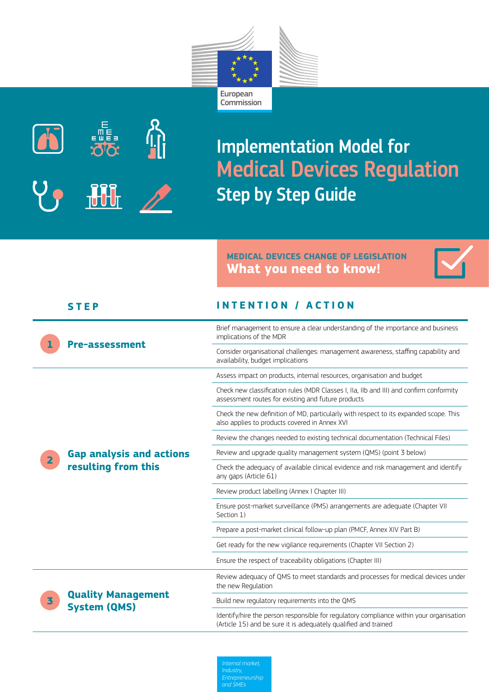



Implementation Model for Medical Devices Regulation Step by Step Guide

## **MEDICAL DEVICES CHANGE OF LEGISLATION What you need to know!**



|                | <b>STEP</b>                                            | <b>INTENTION / ACTION</b>                                                                                                                                  |
|----------------|--------------------------------------------------------|------------------------------------------------------------------------------------------------------------------------------------------------------------|
|                | <b>Pre-assessment</b>                                  | Brief management to ensure a clear understanding of the importance and business<br>implications of the MDR                                                 |
|                |                                                        | Consider organisational challenges: management awareness, staffing capability and<br>availability, budget implications                                     |
| $\overline{2}$ | <b>Gap analysis and actions</b><br>resulting from this | Assess impact on products, internal resources, organisation and budget                                                                                     |
|                |                                                        | Check new classification rules (MDR Classes I, IIa, IIb and III) and confirm conformity<br>assessment routes for existing and future products              |
|                |                                                        | Check the new definition of MD, particularly with respect to its expanded scope. This<br>also applies to products covered in Annex XVI                     |
|                |                                                        | Review the changes needed to existing technical documentation (Technical Files)                                                                            |
|                |                                                        | Review and upgrade quality management system (QMS) (point 3 below)                                                                                         |
|                |                                                        | Check the adequacy of available clinical evidence and risk management and identify<br>any gaps (Article 61)                                                |
|                |                                                        | Review product labelling (Annex I Chapter III)                                                                                                             |
|                |                                                        | Ensure post-market surveillance (PMS) arrangements are adequate (Chapter VII<br>Section 1)                                                                 |
|                |                                                        | Prepare a post-market clinical follow-up plan (PMCF, Annex XIV Part B)                                                                                     |
|                |                                                        | Get ready for the new vigilance requirements (Chapter VII Section 2)                                                                                       |
|                |                                                        | Ensure the respect of traceability obligations (Chapter III)                                                                                               |
| 3              | <b>Quality Management</b><br><b>System (QMS)</b>       | Review adequacy of QMS to meet standards and processes for medical devices under<br>the new Regulation                                                     |
|                |                                                        | Build new regulatory requirements into the QMS                                                                                                             |
|                |                                                        | Identify/hire the person responsible for regulatory compliance within your organisation<br>(Article 15) and be sure it is adequately qualified and trained |

*Internal market,* 

*and SMEs*